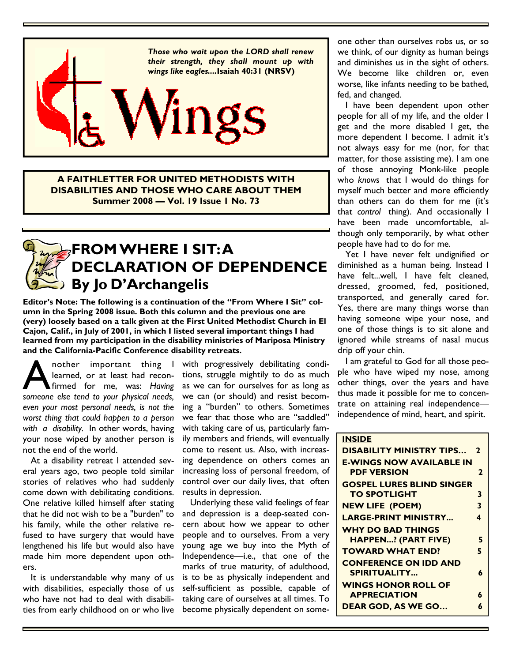

A FAITHLETTER FOR UNITED METHODISTS WITH DISABILITIES AND THOSE WHO CARE ABOUT THEM Summer 2008 — Vol. 19 Issue 1 No. 73



## FROM WHERE I SIT: A DECLARATION OF DEPENDENCE By Jo D'Archangelis

Editor's Note: The following is a continuation of the "From Where I Sit" column in the Spring 2008 issue. Both this column and the previous one are (very) loosely based on a talk given at the First United Methodist Church in El Cajon, Calif., in July of 2001, in which I listed several important things I had learned from my participation in the disability ministries of Mariposa Ministry and the California-Pacific Conference disability retreats.

nother important thing I learned, or at least had reconfirmed for me, was: Having someone else tend to your physical needs, learned, or at least had reconfirmed for me, was: Having even your most personal needs, is not the worst thing that could happen to a person with a disability. In other words, having your nose wiped by another person is not the end of the world.

 At a disability retreat I attended several years ago, two people told similar stories of relatives who had suddenly come down with debilitating conditions. One relative killed himself after stating that he did not wish to be a "burden" to his family, while the other relative refused to have surgery that would have lengthened his life but would also have made him more dependent upon others.

 It is understandable why many of us with disabilities, especially those of us who have not had to deal with disabilities from early childhood on or who live with progressively debilitating conditions, struggle mightily to do as much as we can for ourselves for as long as we can (or should) and resist becoming a "burden" to others. Sometimes we fear that those who are "saddled" with taking care of us, particularly family members and friends, will eventually come to resent us. Also, with increasing dependence on others comes an increasing loss of personal freedom, of control over our daily lives, that often results in depression.

 Underlying these valid feelings of fear and depression is a deep-seated concern about how we appear to other people and to ourselves. From a very young age we buy into the Myth of Independence—i.e., that one of the marks of true maturity, of adulthood, is to be as physically independent and self-sufficient as possible, capable of taking care of ourselves at all times. To become physically dependent on someone other than ourselves robs us, or so we think, of our dignity as human beings and diminishes us in the sight of others. We become like children or, even worse, like infants needing to be bathed, fed, and changed.

 I have been dependent upon other people for all of my life, and the older I get and the more disabled I get, the more dependent I become. I admit it's not always easy for me (nor, for that matter, for those assisting me). I am one of those annoying Monk-like people who knows that I would do things for myself much better and more efficiently than others can do them for me (it's that control thing). And occasionally I have been made uncomfortable, although only temporarily, by what other people have had to do for me.

 Yet I have never felt undignified or diminished as a human being. Instead I have felt...well, I have felt cleaned, dressed, groomed, fed, positioned, transported, and generally cared for. Yes, there are many things worse than having someone wipe your nose, and one of those things is to sit alone and ignored while streams of nasal mucus drip off your chin.

 I am grateful to God for all those people who have wiped my nose, among other things, over the years and have thus made it possible for me to concentrate on attaining real independence independence of mind, heart, and spirit.

### **INSIDE** DISABILITY MINISTRY TIPS… 2 E-WINGS NOW AVAILABLE IN PDF VERSION 2 GOSPEL LURES BLIND SINGER TO SPOTLIGHT 3 NEW LIFE (POEM) 3 LARGE-PRINT MINISTRY... 4 WHY DO BAD THINGS HAPPEN...? (PART FIVE) 5 TOWARD WHAT END? 5 CONFERENCE ON IDD AND SPIRITUALITY... 6 WINGS HONOR ROLL OF APPRECIATION 6 DEAR GOD, AS WE GO... 6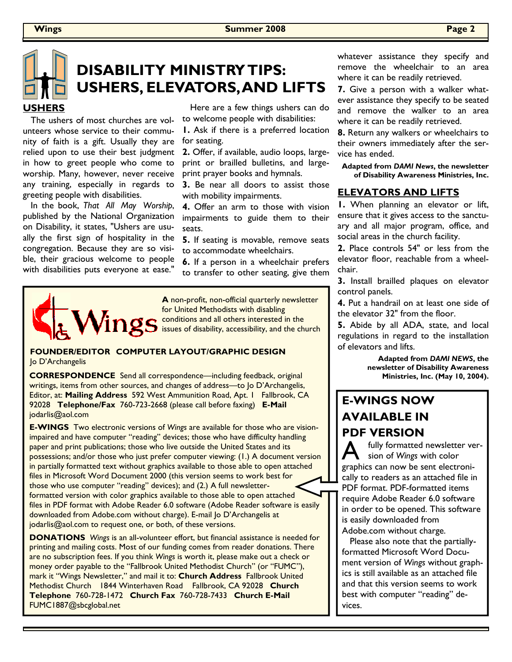

# DISABILITY MINISTRY TIPS: USHERS, ELEVATORS, AND LIFTS

#### USHERS

 The ushers of most churches are volunteers whose service to their community of faith is a gift. Usually they are relied upon to use their best judgment in how to greet people who come to worship. Many, however, never receive any training, especially in regards to greeting people with disabilities.

 In the book, That All May Worship, published by the National Organization on Disability, it states, "Ushers are usually the first sign of hospitality in the congregation. Because they are so visible, their gracious welcome to people with disabilities puts everyone at ease."

 Here are a few things ushers can do to welcome people with disabilities:

1. Ask if there is a preferred location for seating.

2. Offer, if available, audio loops, largeprint or brailled bulletins, and largeprint prayer books and hymnals.

3. Be near all doors to assist those with mobility impairments.

4. Offer an arm to those with vision impairments to guide them to their seats.

5. If seating is movable, remove seats to accommodate wheelchairs.

6. If a person in a wheelchair prefers to transfer to other seating, give them



A non-profit, non-official quarterly newsletter for United Methodists with disabling conditions and all others interested in the issues of disability, accessibility, and the church

#### FOUNDER/EDITOR COMPUTER LAYOUT/GRAPHIC DESIGN Jo D'Archangelis

CORRESPONDENCE Send all correspondence—including feedback, original writings, items from other sources, and changes of address—to Jo D'Archangelis, Editor, at: Mailing Address 592 West Ammunition Road, Apt. 1 Fallbrook, CA 92028 Telephone/Fax 760-723-2668 (please call before faxing) E-Mail jodarlis@aol.com

E-WINGS Two electronic versions of Wings are available for those who are visionimpaired and have computer "reading" devices; those who have difficulty handling paper and print publications; those who live outside the United States and its possessions; and/or those who just prefer computer viewing: (1.) A document version in partially formatted text without graphics available to those able to open attached files in Microsoft Word Document 2000 (this version seems to work best for those who use computer "reading" devices); and (2.) A full newsletterformatted version with color graphics available to those able to open attached files in PDF format with Adobe Reader 6.0 software (Adobe Reader software is easily downloaded from Adobe.com without charge). E-mail Jo D'Archangelis at jodarlis@aol.com to request one, or both, of these versions.

DONATIONS Wings is an all-volunteer effort, but financial assistance is needed for printing and mailing costs. Most of our funding comes from reader donations. There are no subscription fees. If you think Wings is worth it, please make out a check or money order payable to the "Fallbrook United Methodist Church" (or "FUMC"), mark it "Wings Newsletter," and mail it to: Church Address Fallbrook United Methodist Church 1844 Winterhaven Road Fallbrook, CA 92028 Church Telephone 760-728-1472 Church Fax 760-728-7433 Church E-Mail FUMC1887@sbcglobal.net

whatever assistance they specify and remove the wheelchair to an area where it can be readily retrieved.

7. Give a person with a walker whatever assistance they specify to be seated and remove the walker to an area where it can be readily retrieved.

8. Return any walkers or wheelchairs to their owners immediately after the service has ended.

Adapted from DAMI News, the newsletter of Disability Awareness Ministries, Inc.

#### ELEVATORS AND LIFTS

1. When planning an elevator or lift, ensure that it gives access to the sanctuary and all major program, office, and social areas in the church facility.

2. Place controls 54" or less from the elevator floor, reachable from a wheelchair.

3. Install brailled plaques on elevator control panels.

4. Put a handrail on at least one side of the elevator 32" from the floor.

5. Abide by all ADA, state, and local regulations in regard to the installation of elevators and lifts.

> Adapted from DAMI NEWS, the newsletter of Disability Awareness Ministries, Inc. (May 10, 2004).

## E-WINGS NOW AVAILABLE IN PDF VERSION

fully formatted newsletter version of Wings with color graphics can now be sent electronically to readers as an attached file in PDF format. PDF-formatted items require Adobe Reader 6.0 software in order to be opened. This software is easily downloaded from Adobe.com without charge.

 Please also note that the partiallyformatted Microsoft Word Document version of Wings without graphics is still available as an attached file and that this version seems to work best with computer "reading" devices.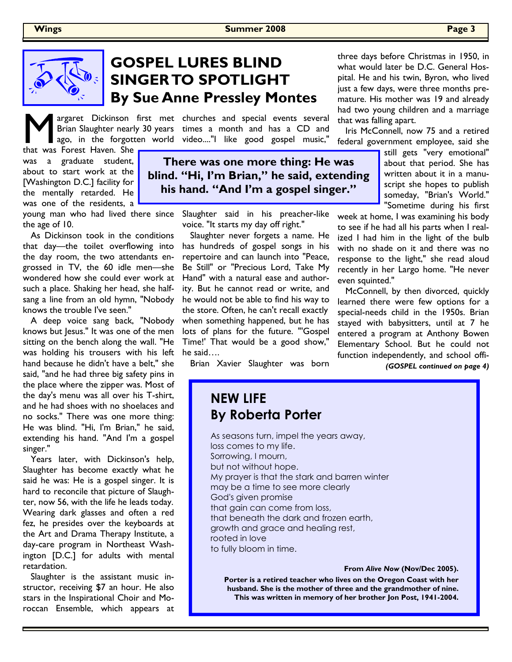

# GOSPEL LURES BLIND SINGER TO SPOTLIGHT By Sue Anne Pressley Montes

argaret Dickinson first met churches and special events several **M** argaret Dickinson first met<br>Brian Slaughter nearly 30 years<br>that was Forest Haven. She Brian Slaughter nearly 30 years

that was Forest Haven. She was a graduate student, about to start work at the [Washington D.C.] facility for the mentally retarded. He was one of the residents, a

young man who had lived there since the age of 10.

 As Dickinson took in the conditions that day—the toilet overflowing into the day room, the two attendants engrossed in TV, the 60 idle men—she wondered how she could ever work at such a place. Shaking her head, she halfsang a line from an old hymn, "Nobody knows the trouble I've seen."

 A deep voice sang back, "Nobody knows but Jesus." It was one of the men sitting on the bench along the wall. "He was holding his trousers with his left hand because he didn't have a belt," she said, "and he had three big safety pins in the place where the zipper was. Most of the day's menu was all over his T-shirt, and he had shoes with no shoelaces and no socks." There was one more thing: He was blind. "Hi, I'm Brian," he said, extending his hand. "And I'm a gospel singer."

 Years later, with Dickinson's help, Slaughter has become exactly what he said he was: He is a gospel singer. It is hard to reconcile that picture of Slaughter, now 56, with the life he leads today. Wearing dark glasses and often a red fez, he presides over the keyboards at the Art and Drama Therapy Institute, a day-care program in Northeast Washington [D.C.] for adults with mental retardation.

 Slaughter is the assistant music instructor, receiving \$7 an hour. He also stars in the Inspirational Choir and Moroccan Ensemble, which appears at

times a month and has a CD and ago, in the forgotten world video...."I like good gospel music,"

> There was one more thing: He was blind. "Hi, I'm Brian," he said, extending his hand. "And I'm a gospel singer."

> > Slaughter said in his preacher-like voice. "It starts my day off right."

> > Slaughter never forgets a name. He has hundreds of gospel songs in his repertoire and can launch into "Peace, Be Still" or "Precious Lord, Take My Hand" with a natural ease and authority. But he cannot read or write, and he would not be able to find his way to the store. Often, he can't recall exactly when something happened, but he has lots of plans for the future. "'Gospel Time!' That would be a good show," he said….

Brian Xavier Slaughter was born

## NEW LIFE By Roberta Porter

As seasons turn, impel the years away, loss comes to my life. Sorrowing, I mourn, but not without hope. My prayer is that the stark and barren winter may be a time to see more clearly God's given promise that gain can come from loss, that beneath the dark and frozen earth, growth and grace and healing rest, rooted in love to fully bloom in time.

From Alive Now (Nov/Dec 2005).

Porter is a retired teacher who lives on the Oregon Coast with her husband. She is the mother of three and the grandmother of nine. This was written in memory of her brother Jon Post, 1941-2004.

three days before Christmas in 1950, in what would later be D.C. General Hospital. He and his twin, Byron, who lived just a few days, were three months premature. His mother was 19 and already had two young children and a marriage that was falling apart.

 Iris McConnell, now 75 and a retired federal government employee, said she

> still gets "very emotional" about that period. She has written about it in a manuscript she hopes to publish someday, "Brian's World." "Sometime during his first

week at home, I was examining his body to see if he had all his parts when I realized I had him in the light of the bulb with no shade on it and there was no response to the light," she read aloud recently in her Largo home. "He never even squinted."

 McConnell, by then divorced, quickly learned there were few options for a special-needs child in the 1950s. Brian stayed with babysitters, until at 7 he entered a program at Anthony Bowen Elementary School. But he could not function independently, and school offi-

(GOSPEL continued on page 4)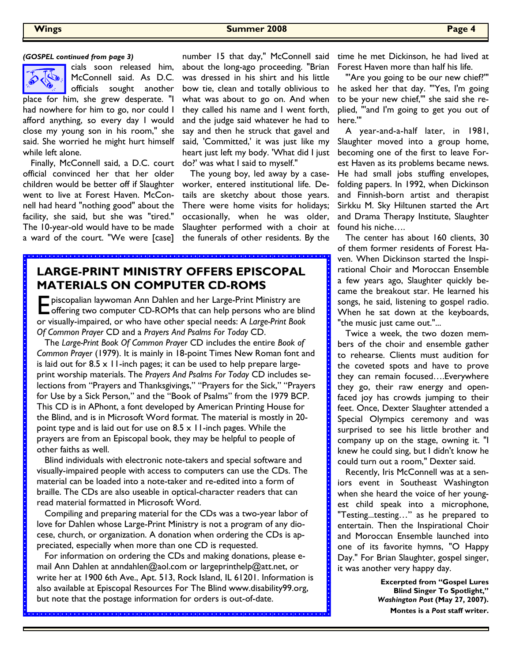

cials soon released him, McConnell said. As D.C. officials sought another

place for him, she grew desperate. "I had nowhere for him to go, nor could I afford anything, so every day I would close my young son in his room," she said. She worried he might hurt himself while left alone.

 Finally, McConnell said, a D.C. court official convinced her that her older children would be better off if Slaughter went to live at Forest Haven. McConnell had heard "nothing good" about the facility, she said, but she was "tired." The 10-year-old would have to be made a ward of the court. "We were [case]

about the long-ago proceeding. "Brian was dressed in his shirt and his little bow tie, clean and totally oblivious to what was about to go on. And when they called his name and I went forth, and the judge said whatever he had to say and then he struck that gavel and said, 'Committed,' it was just like my heart just left my body. 'What did I just do?' was what I said to myself."

 The young boy, led away by a caseworker, entered institutional life. Details are sketchy about those years. There were home visits for holidays; occasionally, when he was older, Slaughter performed with a choir at the funerals of other residents. By the

## LARGE-PRINT MINISTRY OFFERS EPISCOPAL MATERIALS ON COMPUTER CD-ROMS

<u>a sele e e eje e e ele especie de especiales e eje e escripto e eje especiales especiales e eje especiales especial</u>

 $\blacksquare$  piscopalian laywoman Ann Dahlen and her Large-Print Ministry are  $\Box$  offering two computer CD-ROMs that can help persons who are blind or visually-impaired, or who have other special needs: A Large-Print Book Of Common Prayer CD and a Prayers And Psalms For Today CD.

 The Large-Print Book Of Common Prayer CD includes the entire Book of Common Prayer (1979). It is mainly in 18-point Times New Roman font and is laid out for  $8.5 \times 11$ -inch pages; it can be used to help prepare largeprint worship materials. The Prayers And Psalms For Today CD includes selections from "Prayers and Thanksgivings," "Prayers for the Sick," "Prayers for Use by a Sick Person," and the "Book of Psalms" from the 1979 BCP. This CD is in APhont, a font developed by American Printing House for the Blind, and is in Microsoft Word format. The material is mostly in 20 point type and is laid out for use on  $8.5 \times 11$ -inch pages. While the prayers are from an Episcopal book, they may be helpful to people of other faiths as well.

 Blind individuals with electronic note-takers and special software and visually-impaired people with access to computers can use the CDs. The material can be loaded into a note-taker and re-edited into a form of braille. The CDs are also useable in optical-character readers that can read material formatted in Microsoft Word.

 Compiling and preparing material for the CDs was a two-year labor of love for Dahlen whose Large-Print Ministry is not a program of any diocese, church, or organization. A donation when ordering the CDs is appreciated, especially when more than one CD is requested.

 For information on ordering the CDs and making donations, please email Ann Dahlen at anndahlen@aol.com or largeprinthelp@att.net, or write her at 1900 6th Ave., Apt. 513, Rock Island, IL 61201. Information is also available at Episcopal Resources For The Blind www.disability99.org, but note that the postage information for orders is out-of-date.

number 15 that day," McConnell said time he met Dickinson, he had lived at Forest Haven more than half his life.

> "'Are you going to be our new chief?'" he asked her that day. "'Yes, I'm going to be your new chief,'" she said she replied, "'and I'm going to get you out of here.'"

> A year-and-a-half later, in 1981, Slaughter moved into a group home, becoming one of the first to leave Forest Haven as its problems became news. He had small jobs stuffing envelopes, folding papers. In 1992, when Dickinson and Finnish-born artist and therapist Sirkku M. Sky Hiltunen started the Art and Drama Therapy Institute, Slaughter found his niche….

> The center has about 160 clients, 30 of them former residents of Forest Haven. When Dickinson started the Inspirational Choir and Moroccan Ensemble a few years ago, Slaughter quickly became the breakout star. He learned his songs, he said, listening to gospel radio. When he sat down at the keyboards, "the music just came out."...

> Twice a week, the two dozen members of the choir and ensemble gather to rehearse. Clients must audition for the coveted spots and have to prove they can remain focused….Everywhere they go, their raw energy and openfaced joy has crowds jumping to their feet. Once, Dexter Slaughter attended a Special Olympics ceremony and was surprised to see his little brother and company up on the stage, owning it. "I knew he could sing, but I didn't know he could turn out a room," Dexter said.

> Recently, Iris McConnell was at a seniors event in Southeast Washington when she heard the voice of her youngest child speak into a microphone, "Testing...testing…" as he prepared to entertain. Then the Inspirational Choir and Moroccan Ensemble launched into one of its favorite hymns, "O Happy Day." For Brian Slaughter, gospel singer, it was another very happy day.

> > Excerpted from "Gospel Lures Blind Singer To Spotlight," Washington Post (May 27, 2007). Montes is a Post staff writer.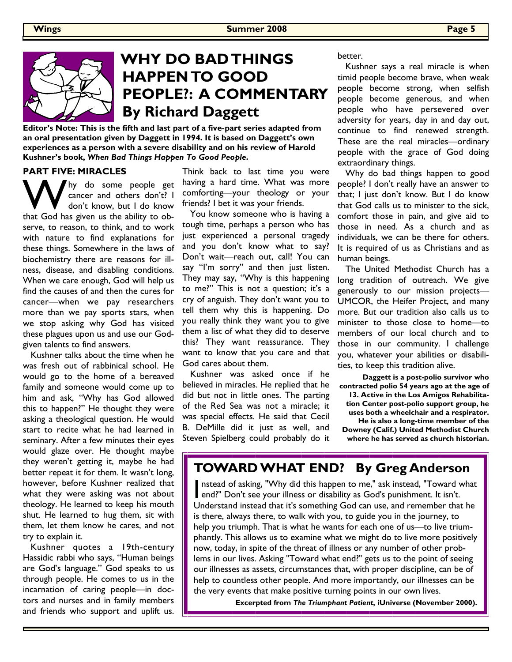

# WHY DO BAD THINGS HAPPEN TO GOOD PEOPLE?: A COMMENTARY By Richard Daggett

Editor's Note: This is the fifth and last part of a five-part series adapted from an oral presentation given by Daggett in 1994. It is based on Daggett's own experiences as a person with a severe disability and on his review of Harold Kushner's book, When Bad Things Happen To Good People.

#### PART FIVE: MIRACLES

W hy do some people get<br>
don't know, but I do know<br>
that God has given us the ability to obcancer and others don't? I don't know, but I do know serve, to reason, to think, and to work with nature to find explanations for these things. Somewhere in the laws of biochemistry there are reasons for illness, disease, and disabling conditions. When we care enough, God will help us find the causes of and then the cures for cancer—when we pay researchers more than we pay sports stars, when we stop asking why God has visited these plagues upon us and use our Godgiven talents to find answers.

 Kushner talks about the time when he was fresh out of rabbinical school. He would go to the home of a bereaved family and someone would come up to him and ask, "Why has God allowed this to happen?" He thought they were asking a theological question. He would start to recite what he had learned in seminary. After a few minutes their eyes would glaze over. He thought maybe they weren't getting it, maybe he had better repeat it for them. It wasn't long, however, before Kushner realized that what they were asking was not about theology. He learned to keep his mouth shut. He learned to hug them, sit with them, let them know he cares, and not try to explain it.

 Kushner quotes a 19th-century Hassidic rabbi who says, "Human beings are God's language." God speaks to us through people. He comes to us in the incarnation of caring people—in doctors and nurses and in family members and friends who support and uplift us.

Think back to last time you were having a hard time. What was more comforting—your theology or your friends? I bet it was your friends.

 You know someone who is having a tough time, perhaps a person who has just experienced a personal tragedy and you don't know what to say? Don't wait—reach out, call! You can say "I'm sorry" and then just listen. They may say, "Why is this happening to me?" This is not a question; it's a cry of anguish. They don't want you to tell them why this is happening. Do you really think they want you to give them a list of what they did to deserve this? They want reassurance. They want to know that you care and that God cares about them.

 Kushner was asked once if he believed in miracles. He replied that he did but not in little ones. The parting of the Red Sea was not a miracle; it was special effects. He said that Cecil B. DeMille did it just as well, and Steven Spielberg could probably do it better.

 Kushner says a real miracle is when timid people become brave, when weak people become strong, when selfish people become generous, and when people who have persevered over adversity for years, day in and day out, continue to find renewed strength. These are the real miracles—ordinary people with the grace of God doing extraordinary things.

 Why do bad things happen to good people? I don't really have an answer to that; I just don't know. But I do know that God calls us to minister to the sick, comfort those in pain, and give aid to those in need. As a church and as individuals, we can be there for others. It is required of us as Christians and as human beings.

 The United Methodist Church has a long tradition of outreach. We give generously to our mission projects— UMCOR, the Heifer Project, and many more. But our tradition also calls us to minister to those close to home—to members of our local church and to those in our community. I challenge you, whatever your abilities or disabilities, to keep this tradition alive.

Daggett is a post-polio survivor who contracted polio 54 years ago at the age of 13. Active in the Los Amigos Rehabilitation Center post-polio support group, he uses both a wheelchair and a respirator. He is also a long-time member of the Downey (Calif.) United Methodist Church where he has served as church historian.

## TOWARD WHAT END? By Greg Anderson

nstead of asking, "Why did this happen to me," ask instead, "Toward what end?" Don't see your illness or disability as God's punishment. It isn't. Understand instead that it's something God can use, and remember that he is there, always there, to walk with you, to guide you in the journey, to help you triumph. That is what he wants for each one of us—to live triumphantly. This allows us to examine what we might do to live more positively now, today, in spite of the threat of illness or any number of other problems in our lives. Asking "Toward what end?" gets us to the point of seeing our illnesses as assets, circumstances that, with proper discipline, can be of help to countless other people. And more importantly, our illnesses can be the very events that make positive turning points in our own lives.

Excerpted from The Triumphant Patient, iUniverse (November 2000).